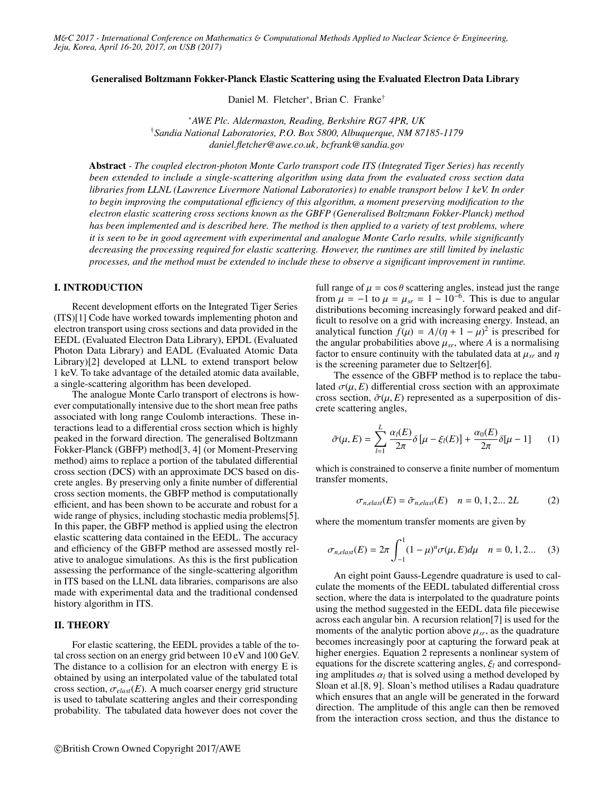#### Generalised Boltzmann Fokker-Planck Elastic Scattering using the Evaluated Electron Data Library

Daniel M. Fletcher<sup>∗</sup> , Brian C. Franke†

<sup>∗</sup>*AWE Plc. Aldermaston, Reading, Berkshire RG7 4PR, UK* †*Sandia National Laboratories, P.O. Box 5800, Albuquerque, NM 87185-1179 daniel.fletcher@awe.co.uk, bcfrank@sandia.gov*

Abstract *- The coupled electron-photon Monte Carlo transport code ITS (Integrated Tiger Series) has recently been extended to include a single-scattering algorithm using data from the evaluated cross section data libraries from LLNL (Lawrence Livermore National Laboratories) to enable transport below 1 keV. In order to begin improving the computational e*ffi*ciency of this algorithm, a moment preserving modification to the electron elastic scattering cross sections known as the GBFP (Generalised Boltzmann Fokker-Planck) method has been implemented and is described here. The method is then applied to a variety of test problems, where it is seen to be in good agreement with experimental and analogue Monte Carlo results, while significantly decreasing the processing required for elastic scattering. However, the runtimes are still limited by inelastic processes, and the method must be extended to include these to observe a significant improvement in runtime.*

### I. INTRODUCTION

Recent development efforts on the Integrated Tiger Series (ITS)[1] Code have worked towards implementing photon and electron transport using cross sections and data provided in the EEDL (Evaluated Electron Data Library), EPDL (Evaluated Photon Data Library) and EADL (Evaluated Atomic Data Library)[2] developed at LLNL to extend transport below 1 keV. To take advantage of the detailed atomic data available, a single-scattering algorithm has been developed.

The analogue Monte Carlo transport of electrons is however computationally intensive due to the short mean free paths associated with long range Coulomb interactions. These interactions lead to a differential cross section which is highly peaked in the forward direction. The generalised Boltzmann Fokker-Planck (GBFP) method[3, 4] (or Moment-Preserving method) aims to replace a portion of the tabulated differential cross section (DCS) with an approximate DCS based on discrete angles. By preserving only a finite number of differential cross section moments, the GBFP method is computationally efficient, and has been shown to be accurate and robust for a wide range of physics, including stochastic media problems[5]. In this paper, the GBFP method is applied using the electron elastic scattering data contained in the EEDL. The accuracy and efficiency of the GBFP method are assessed mostly relative to analogue simulations. As this is the first publication assessing the performance of the single-scattering algorithm in ITS based on the LLNL data libraries, comparisons are also made with experimental data and the traditional condensed history algorithm in ITS.

### II. THEORY

For elastic scattering, the EEDL provides a table of the total cross section on an energy grid between 10 eV and 100 GeV. The distance to a collision for an electron with energy E is obtained by using an interpolated value of the tabulated total cross section,  $\sigma_{elast}(E)$ . A much coarser energy grid structure is used to tabulate scattering angles and their corresponding probability. The tabulated data however does not cover the

full range of  $\mu = \cos \theta$  scattering angles, instead just the range from  $\mu = -1$  to  $\mu = \mu_{sr} = 1 - 10^{-6}$ . This is due to angular distributions becoming increasingly forward peaked and difdistributions becoming increasingly forward peaked and difficult to resolve on a grid with increasing energy. Instead, an analytical function  $f(\mu) = A/(\eta + 1 - \mu)^2$  is prescribed for<br>the angular probabilities above  $\mu_{xx}$  where A is a normalising the angular probabilities above  $\mu_{sr}$ , where *A* is a normalising factor to ensure continuity with the tabulated data at  $\mu_{sr}$  and  $\eta$ is the screening parameter due to Seltzer[6].

The essence of the GBFP method is to replace the tabulated  $\sigma(\mu, E)$  differential cross section with an approximate cross section,  $\tilde{\sigma}(\mu, E)$  represented as a superposition of discrete scattering angles,

$$
\tilde{\sigma}(\mu, E) = \sum_{l=1}^{L} \frac{\alpha_l(E)}{2\pi} \delta[\mu - \xi_l(E)] + \frac{\alpha_0(E)}{2\pi} \delta[\mu - 1] \qquad (1)
$$

which is constrained to conserve a finite number of momentum transfer moments,

$$
\sigma_{n,elas}(E) = \tilde{\sigma}_{n,elas}(E) \quad n = 0, 1, 2... 2L \tag{2}
$$

where the momentum transfer moments are given by

$$
\sigma_{n,elast}(E) = 2\pi \int_{-1}^{1} (1 - \mu)^n \sigma(\mu, E) d\mu \quad n = 0, 1, 2... \quad (3)
$$

An eight point Gauss-Legendre quadrature is used to calculate the moments of the EEDL tabulated differential cross section, where the data is interpolated to the quadrature points using the method suggested in the EEDL data file piecewise across each angular bin. A recursion relation[7] is used for the moments of the analytic portion above  $\mu_{sr}$ , as the quadrature becomes increasingly poor at capturing the forward peak at higher energies. Equation 2 represents a nonlinear system of equations for the discrete scattering angles, <sup>ξ</sup>*<sup>l</sup>* and corresponding amplitudes  $\alpha_l$  that is solved using a method developed by<br>Sloan et al [8–9] Sloan's method utilises a Radau quadrature Sloan et al.[8, 9]. Sloan's method utilises a Radau quadrature which ensures that an angle will be generated in the forward direction. The amplitude of this angle can then be removed from the interaction cross section, and thus the distance to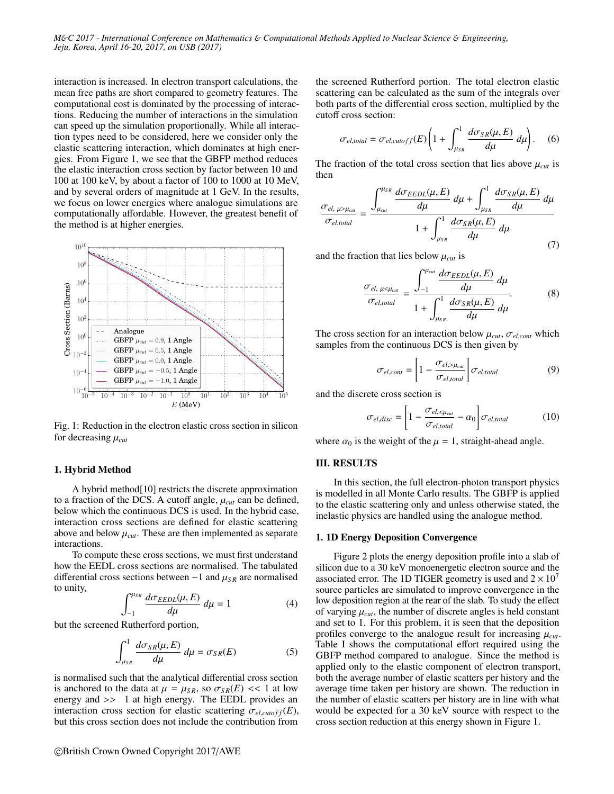interaction is increased. In electron transport calculations, the mean free paths are short compared to geometry features. The computational cost is dominated by the processing of interactions. Reducing the number of interactions in the simulation can speed up the simulation proportionally. While all interaction types need to be considered, here we consider only the elastic scattering interaction, which dominates at high energies. From Figure 1, we see that the GBFP method reduces the elastic interaction cross section by factor between 10 and 100 at 100 keV, by about a factor of 100 to 1000 at 10 MeV, and by several orders of magnitude at 1 GeV. In the results, we focus on lower energies where analogue simulations are computationally affordable. However, the greatest benefit of the method is at higher energies.



Fig. 1: Reduction in the electron elastic cross section in silicon for decreasing <sup>µ</sup>*cut*

#### 1. Hybrid Method

A hybrid method[10] restricts the discrete approximation to a fraction of the DCS. A cutoff angle,  $\mu_{cut}$  can be defined, below which the continuous DCS is used. In the hybrid case, interaction cross sections are defined for elastic scattering above and below  $\mu_{cut}$ . These are then implemented as separate interactions.

To compute these cross sections, we must first understand how the EEDL cross sections are normalised. The tabulated differential cross sections between  $-1$  and  $\mu_{SR}$  are normalised to unity,

$$
\int_{-1}^{\mu_{SR}} \frac{d\sigma_{EEDL}(\mu, E)}{d\mu} d\mu = 1
$$
 (4)

 $J_{-1}$   $d\mu$ <br>but the screened Rutherford portion,

$$
\int_{\mu_{SR}}^1 \frac{d\sigma_{SR}(\mu, E)}{d\mu} \, d\mu = \sigma_{SR}(E) \tag{5}
$$

is normalised such that the analytical differential cross section is anchored to the data at  $\mu = \mu_{SR}$ , so  $\sigma_{SR}(E) \ll 1$  at low energy and >> <sup>1</sup> at high energy. The EEDL provides an interaction cross section for elastic scattering  $\sigma_{el,cutoff}(E)$ , but this cross section does not include the contribution from the screened Rutherford portion. The total electron elastic scattering can be calculated as the sum of the integrals over both parts of the differential cross section, multiplied by the cutoff cross section:

$$
\sigma_{el,total} = \sigma_{el,cutoff}(E) \left( 1 + \int_{\mu_{SR}}^1 \frac{d\sigma_{SR}(\mu, E)}{d\mu} \, d\mu \right). \tag{6}
$$

The fraction of the total cross section that lies above  $\mu_{cut}$  is then

$$
\frac{\sigma_{el, \mu > \mu_{cut}}}{\sigma_{el, total}} = \frac{\int_{\mu_{cut}}^{\mu_{SR}} \frac{d\sigma_{EEDL}(\mu, E)}{d\mu} d\mu + \int_{\mu_{SR}}^1 \frac{d\sigma_{SR}(\mu, E)}{d\mu} d\mu}{1 + \int_{\mu_{SR}}^1 \frac{d\sigma_{SR}(\mu, E)}{d\mu} d\mu} \tag{7}
$$

and the fraction that lies below  $\mu_{cut}$  is

$$
\frac{\sigma_{el, \mu < \mu_{cal}}}{\sigma_{el, total}} = \frac{\int_{-1}^{\mu_{cut}} \frac{d\sigma_{EEDL}(\mu, E)}{d\mu} d\mu}{1 + \int_{\mu_{SR}}^{1} \frac{d\sigma_{SR}(\mu, E)}{d\mu} d\mu}.
$$
\n(8)

The cross section for an interaction below  $\mu_{cut}$ ,  $\sigma_{el,cont}$  which samples from the continuous DCS is then given by

$$
\sigma_{el,cont} = \left[1 - \frac{\sigma_{el,> \mu_{cut}}}{\sigma_{el, total}}\right] \sigma_{el, total} \tag{9}
$$

and the discrete cross section is

$$
\sigma_{el,disc} = \left[1 - \frac{\sigma_{el, \leq \mu_{cut}}}{\sigma_{el,total}} - \alpha_0\right] \sigma_{el,total} \tag{10}
$$

where  $\alpha_0$  is the weight of the  $\mu = 1$ , straight-ahead angle.

### III. RESULTS

In this section, the full electron-photon transport physics is modelled in all Monte Carlo results. The GBFP is applied to the elastic scattering only and unless otherwise stated, the inelastic physics are handled using the analogue method.

#### 1. 1D Energy Deposition Convergence

Figure 2 plots the energy deposition profile into a slab of silicon due to a 30 keV monoenergetic electron source and the associated error. The 1D TIGER geometry is used and  $2 \times 10^{7}$ source particles are simulated to improve convergence in the low deposition region at the rear of the slab. To study the effect of varying  $\mu_{cut}$ , the number of discrete angles is held constant and set to 1. For this problem, it is seen that the deposition profiles converge to the analogue result for increasing  $\mu_{cut}$ . Table I shows the computational effort required using the GBFP method compared to analogue. Since the method is applied only to the elastic component of electron transport, both the average number of elastic scatters per history and the average time taken per history are shown. The reduction in the number of elastic scatters per history are in line with what would be expected for a 30 keV source with respect to the cross section reduction at this energy shown in Figure 1.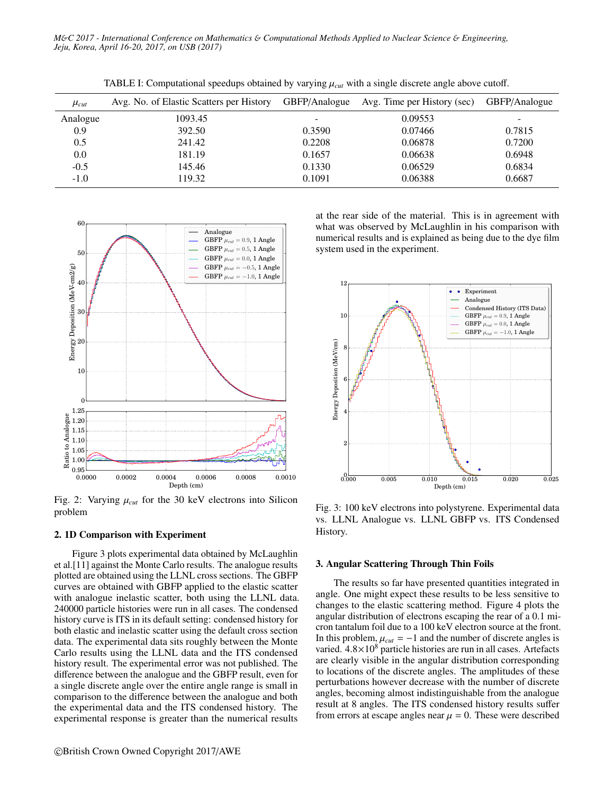| $\mu_{cut}$ | Avg. No. of Elastic Scatters per History | GBFP/Analogue | Avg. Time per History (sec) | GBFP/Analogue |
|-------------|------------------------------------------|---------------|-----------------------------|---------------|
| Analogue    | 1093.45                                  |               | 0.09553                     |               |
| 0.9         | 392.50                                   | 0.3590        | 0.07466                     | 0.7815        |
| 0.5         | 241.42                                   | 0.2208        | 0.06878                     | 0.7200        |
| 0.0         | 181.19                                   | 0.1657        | 0.06638                     | 0.6948        |
| $-0.5$      | 145.46                                   | 0.1330        | 0.06529                     | 0.6834        |
| $-1.0$      | 119.32                                   | 0.1091        | 0.06388                     | 0.6687        |

TABLE I: Computational speedups obtained by varying  $\mu_{cut}$  with a single discrete angle above cutoff.



Fig. 2: Varying  $\mu_{cut}$  for the 30 keV electrons into Silicon problem

### 2. 1D Comparison with Experiment

Figure 3 plots experimental data obtained by McLaughlin et al.[11] against the Monte Carlo results. The analogue results plotted are obtained using the LLNL cross sections. The GBFP curves are obtained with GBFP applied to the elastic scatter with analogue inelastic scatter, both using the LLNL data. 240000 particle histories were run in all cases. The condensed history curve is ITS in its default setting: condensed history for both elastic and inelastic scatter using the default cross section data. The experimental data sits roughly between the Monte Carlo results using the LLNL data and the ITS condensed history result. The experimental error was not published. The difference between the analogue and the GBFP result, even for a single discrete angle over the entire angle range is small in comparison to the difference between the analogue and both the experimental data and the ITS condensed history. The experimental response is greater than the numerical results

at the rear side of the material. This is in agreement with what was observed by McLaughlin in his comparison with numerical results and is explained as being due to the dye film system used in the experiment.



Fig. 3: 100 keV electrons into polystyrene. Experimental data vs. LLNL Analogue vs. LLNL GBFP vs. ITS Condensed History.

#### 3. Angular Scattering Through Thin Foils

The results so far have presented quantities integrated in angle. One might expect these results to be less sensitive to changes to the elastic scattering method. Figure 4 plots the angular distribution of electrons escaping the rear of a <sup>0</sup>.<sup>1</sup> micron tantalum foil due to a 100 keV electron source at the front. In this problem,  $\mu_{cut} = -1$  and the number of discrete angles is varied.  $4.8\times10^{8}$  particle histories are run in all cases. Artefacts are clearly visible in the angular distribution corresponding to locations of the discrete angles. The amplitudes of these perturbations however decrease with the number of discrete angles, becoming almost indistinguishable from the analogue result at 8 angles. The ITS condensed history results suffer from errors at escape angles near  $\mu = 0$ . These were described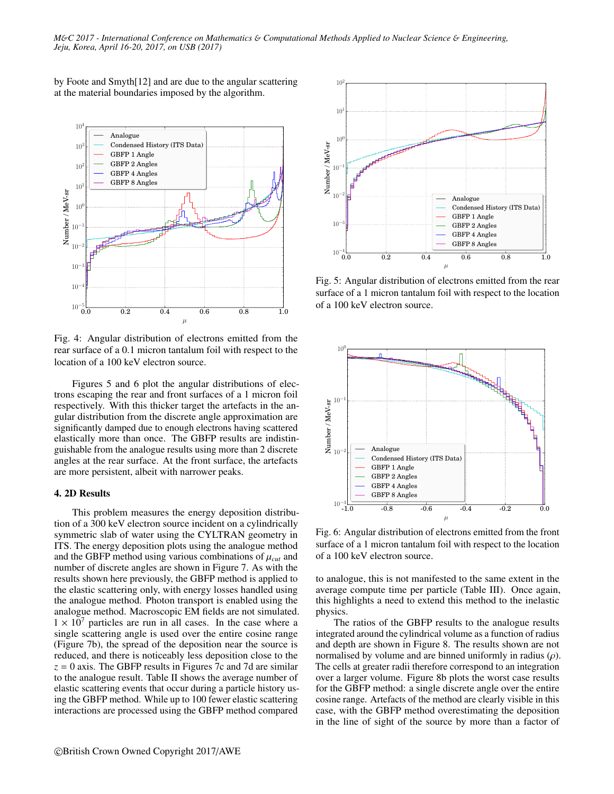by Foote and Smyth[12] and are due to the angular scattering at the material boundaries imposed by the algorithm.



Fig. 4: Angular distribution of electrons emitted from the rear surface of a 0.1 micron tantalum foil with respect to the location of a 100 keV electron source.

Figures 5 and 6 plot the angular distributions of electrons escaping the rear and front surfaces of a 1 micron foil respectively. With this thicker target the artefacts in the angular distribution from the discrete angle approximation are significantly damped due to enough electrons having scattered elastically more than once. The GBFP results are indistinguishable from the analogue results using more than 2 discrete angles at the rear surface. At the front surface, the artefacts are more persistent, albeit with narrower peaks.

### 4. 2D Results

This problem measures the energy deposition distribution of a 300 keV electron source incident on a cylindrically symmetric slab of water using the CYLTRAN geometry in ITS. The energy deposition plots using the analogue method and the GBFP method using various combinations of  $\mu_{cut}$  and number of discrete angles are shown in Figure 7. As with the results shown here previously, the GBFP method is applied to the elastic scattering only, with energy losses handled using the analogue method. Photon transport is enabled using the analogue method. Macroscopic EM fields are not simulated.  $1 \times 10^7$  particles are run in all cases. In the case where a single scattering angle is used over the entire cosine range (Figure 7b), the spread of the deposition near the source is reduced, and there is noticeably less deposition close to the  $z = 0$  axis. The GBFP results in Figures 7c and 7d are similar to the analogue result. Table II shows the average number of elastic scattering events that occur during a particle history using the GBFP method. While up to 100 fewer elastic scattering interactions are processed using the GBFP method compared



Fig. 5: Angular distribution of electrons emitted from the rear surface of a 1 micron tantalum foil with respect to the location of a 100 keV electron source.



Fig. 6: Angular distribution of electrons emitted from the front surface of a 1 micron tantalum foil with respect to the location of a 100 keV electron source.

to analogue, this is not manifested to the same extent in the average compute time per particle (Table III). Once again, this highlights a need to extend this method to the inelastic physics.

The ratios of the GBFP results to the analogue results integrated around the cylindrical volume as a function of radius and depth are shown in Figure 8. The results shown are not normalised by volume and are binned uniformly in radius  $(\rho)$ . The cells at greater radii therefore correspond to an integration over a larger volume. Figure 8b plots the worst case results for the GBFP method: a single discrete angle over the entire cosine range. Artefacts of the method are clearly visible in this case, with the GBFP method overestimating the deposition in the line of sight of the source by more than a factor of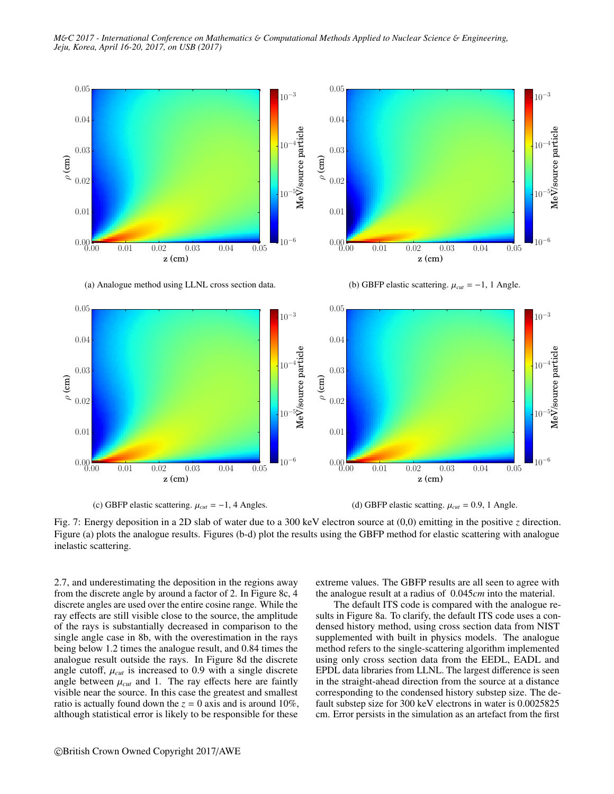*M*&*C 2017 - International Conference on Mathematics* & *Computational Methods Applied to Nuclear Science* & *Engineering, Jeju, Korea, April 16-20, 2017, on USB (2017)*



(a) Analogue method using LLNL cross section data.

(b) GBFP elastic scattering.  $\mu_{cut} = -1$ , 1 Angle.



(c) GBFP elastic scattering.  $\mu_{cut} = -1$ , 4 Angles.

(d) GBFP elastic scatting.  $\mu_{cut} = 0.9$ , 1 Angle.

Fig. 7: Energy deposition in a 2D slab of water due to a 300 keV electron source at (0,0) emitting in the positive *z* direction. Figure (a) plots the analogue results. Figures (b-d) plot the results using the GBFP method for elastic scattering with analogue inelastic scattering.

2.7, and underestimating the deposition in the regions away from the discrete angle by around a factor of 2. In Figure 8c, 4 discrete angles are used over the entire cosine range. While the ray effects are still visible close to the source, the amplitude of the rays is substantially decreased in comparison to the single angle case in 8b, with the overestimation in the rays being below 1.2 times the analogue result, and 0.84 times the analogue result outside the rays. In Figure 8d the discrete angle cutoff,  $\mu_{cut}$  is increased to 0.9 with a single discrete angle between  $\mu_{cut}$  and 1. The ray effects here are faintly visible near the source. In this case the greatest and smallest ratio is actually found down the  $z = 0$  axis and is around 10%, although statistical error is likely to be responsible for these

extreme values. The GBFP results are all seen to agree with the analogue result at a radius of 0.045*cm* into the material.

The default ITS code is compared with the analogue results in Figure 8a. To clarify, the default ITS code uses a condensed history method, using cross section data from NIST supplemented with built in physics models. The analogue method refers to the single-scattering algorithm implemented using only cross section data from the EEDL, EADL and EPDL data libraries from LLNL. The largest difference is seen in the straight-ahead direction from the source at a distance corresponding to the condensed history substep size. The default substep size for 300 keV electrons in water is 0.0025825 cm. Error persists in the simulation as an artefact from the first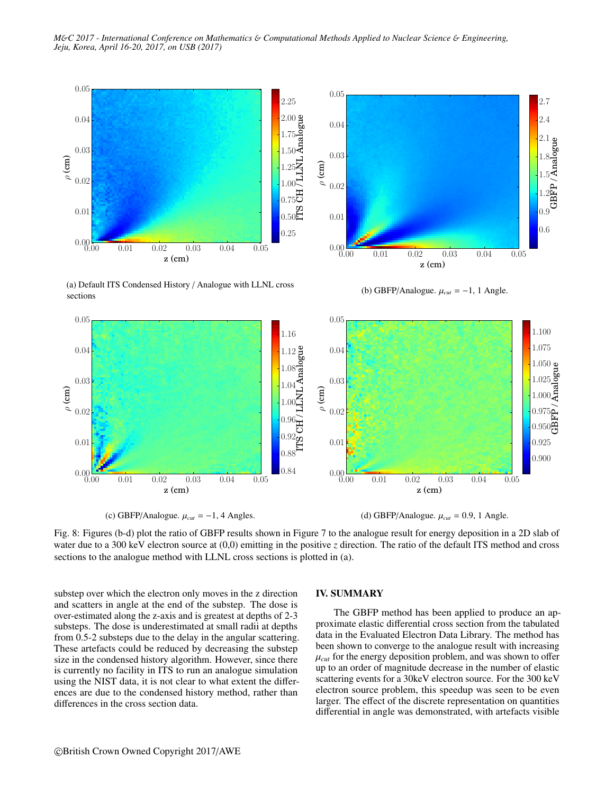

(a) Default ITS Condensed History / Analogue with LLNL cross sections



(b) GBFP/Analogue. <sup>µ</sup>*cut* <sup>=</sup> <sup>−</sup>1, 1 Angle.



(c) GBFP/Analogue.  $\mu_{cut} = -1$ , 4 Angles.

(d) GBFP/Analogue.  $\mu_{cut} = 0.9$ , 1 Angle.

Fig. 8: Figures (b-d) plot the ratio of GBFP results shown in Figure 7 to the analogue result for energy deposition in a 2D slab of water due to a 300 keV electron source at (0,0) emitting in the positive *z* direction. The ratio of the default ITS method and cross sections to the analogue method with LLNL cross sections is plotted in (a).

substep over which the electron only moves in the z direction and scatters in angle at the end of the substep. The dose is over-estimated along the z-axis and is greatest at depths of 2-3 substeps. The dose is underestimated at small radii at depths from 0.5-2 substeps due to the delay in the angular scattering. These artefacts could be reduced by decreasing the substep size in the condensed history algorithm. However, since there is currently no facility in ITS to run an analogue simulation using the NIST data, it is not clear to what extent the differences are due to the condensed history method, rather than differences in the cross section data.

### IV. SUMMARY

The GBFP method has been applied to produce an approximate elastic differential cross section from the tabulated data in the Evaluated Electron Data Library. The method has been shown to converge to the analogue result with increasing  $\mu_{cut}$  for the energy deposition problem, and was shown to offer up to an order of magnitude decrease in the number of elastic scattering events for a 30keV electron source. For the 300 keV electron source problem, this speedup was seen to be even larger. The effect of the discrete representation on quantities differential in angle was demonstrated, with artefacts visible